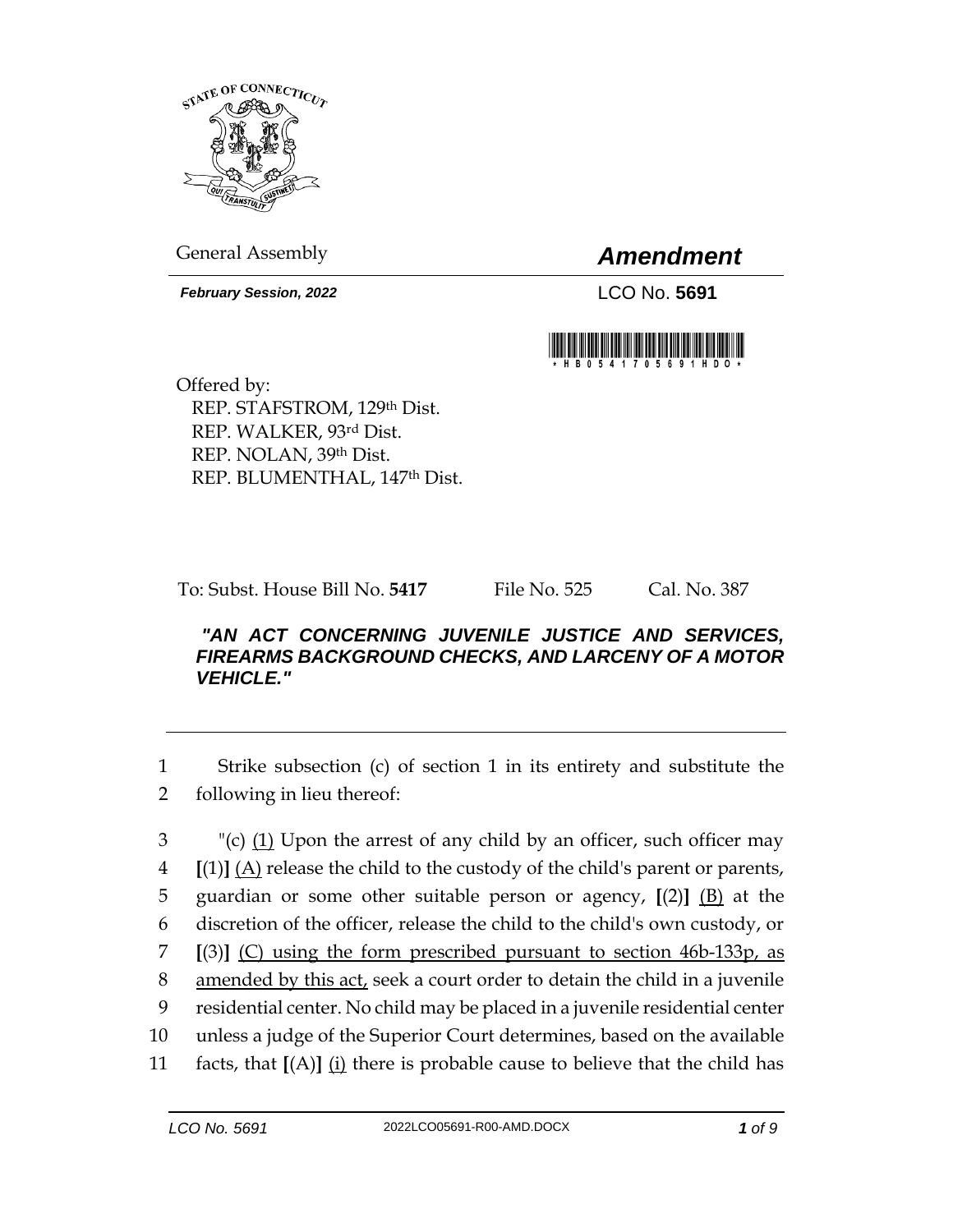

General Assembly *Amendment*

*February Session, 2022* LCO No. 5691



Offered by: REP. STAFSTROM, 129th Dist. REP. WALKER, 93rd Dist. REP. NOLAN, 39th Dist. REP. BLUMENTHAL, 147th Dist.

To: Subst. House Bill No. **5417** File No. 525 Cal. No. 387

## *"AN ACT CONCERNING JUVENILE JUSTICE AND SERVICES, FIREARMS BACKGROUND CHECKS, AND LARCENY OF A MOTOR VEHICLE."*

1 Strike subsection (c) of section 1 in its entirety and substitute the 2 following in lieu thereof:

 "(c) (1) Upon the arrest of any child by an officer, such officer may  $\left[ (1) \right]$   $\left[ (A) \right]$  release the child to the custody of the child's parent or parents, guardian or some other suitable person or agency, **[**(2)**]** (B) at the discretion of the officer, release the child to the child's own custody, or **[**(3)**]** (C) using the form prescribed pursuant to section 46b-133p, as 8 amended by this act, seek a court order to detain the child in a juvenile residential center. No child may be placed in a juvenile residential center unless a judge of the Superior Court determines, based on the available 11 facts, that  $[(A)]$   $(i)$  there is probable cause to believe that the child has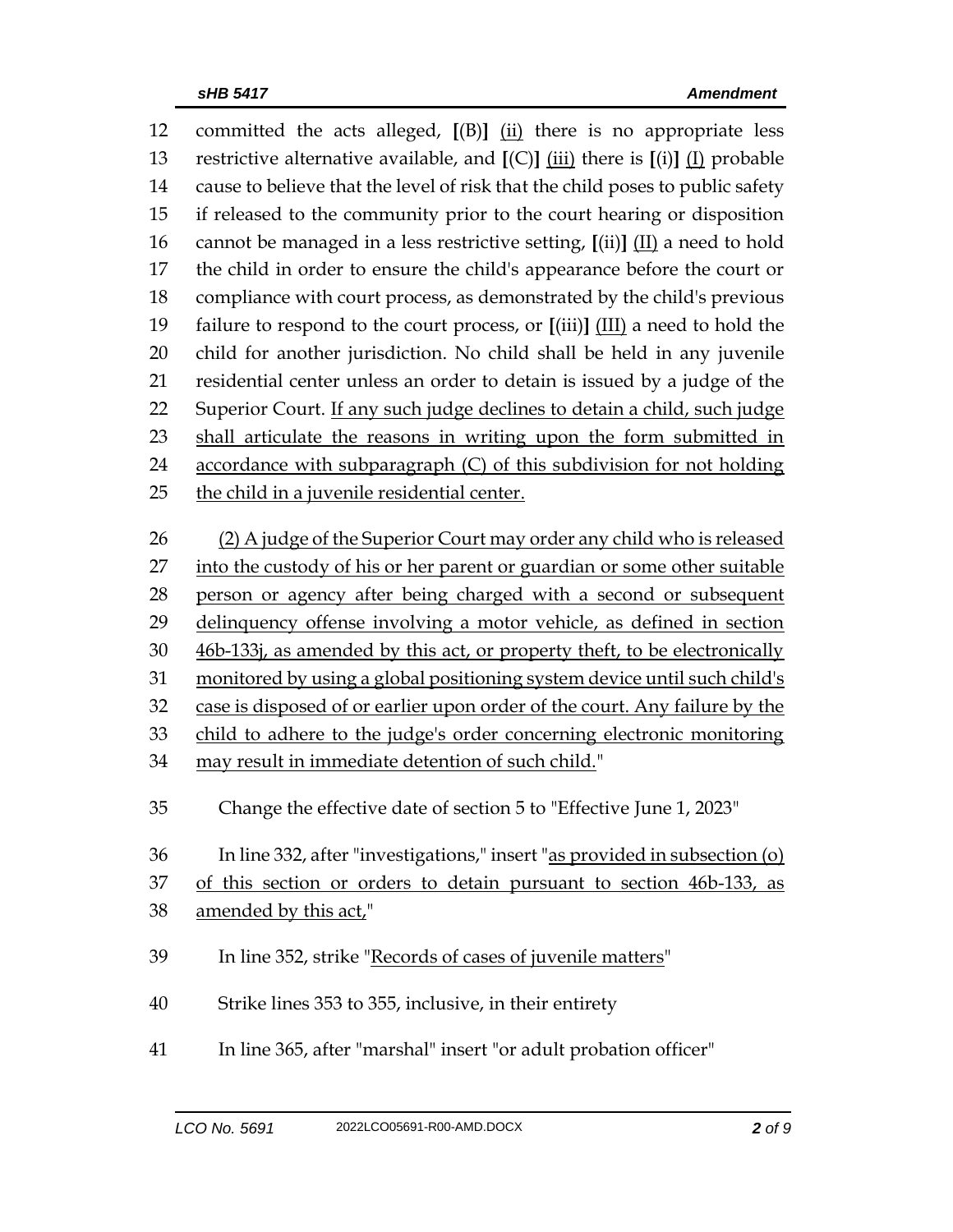| 12       | committed the acts alleged, $[(B)]$ $(i)$ there is no appropriate less                                              |  |  |  |
|----------|---------------------------------------------------------------------------------------------------------------------|--|--|--|
| 13       | restrictive alternative available, and $[(C)]$ $(iii)$ there is $[(i)]$ $(I)$ probable                              |  |  |  |
| 14       | cause to believe that the level of risk that the child poses to public safety                                       |  |  |  |
| 15       | if released to the community prior to the court hearing or disposition                                              |  |  |  |
| 16       | cannot be managed in a less restrictive setting, $\left[\text{(ii)}\right]$ $\left(\text{II}\right)$ a need to hold |  |  |  |
| 17       | the child in order to ensure the child's appearance before the court or                                             |  |  |  |
| 18       | compliance with court process, as demonstrated by the child's previous                                              |  |  |  |
| 19       | failure to respond to the court process, or $[(iii)]$ $(III)$ a need to hold the                                    |  |  |  |
| 20       | child for another jurisdiction. No child shall be held in any juvenile                                              |  |  |  |
| 21       | residential center unless an order to detain is issued by a judge of the                                            |  |  |  |
| 22       | Superior Court. If any such judge declines to detain a child, such judge                                            |  |  |  |
| 23       | shall articulate the reasons in writing upon the form submitted in                                                  |  |  |  |
| 24       | accordance with subparagraph (C) of this subdivision for not holding                                                |  |  |  |
| 25       | the child in a juvenile residential center.                                                                         |  |  |  |
| 26       |                                                                                                                     |  |  |  |
|          | (2) A judge of the Superior Court may order any child who is released                                               |  |  |  |
| 27       | into the custody of his or her parent or guardian or some other suitable                                            |  |  |  |
| 28       | person or agency after being charged with a second or subsequent                                                    |  |  |  |
| 29       | delinquency offense involving a motor vehicle, as defined in section                                                |  |  |  |
| 30<br>31 | 46b-133j, as amended by this act, or property theft, to be electronically                                           |  |  |  |
|          | monitored by using a global positioning system device until such child's                                            |  |  |  |
| 32<br>33 | case is disposed of or earlier upon order of the court. Any failure by the                                          |  |  |  |
| 34       | child to adhere to the judge's order concerning electronic monitoring                                               |  |  |  |
|          | may result in immediate detention of such child."                                                                   |  |  |  |
| 35       | Change the effective date of section 5 to "Effective June 1, 2023"                                                  |  |  |  |
| 36       | In line 332, after "investigations," insert "as provided in subsection (o)                                          |  |  |  |
| 37       | of this section or orders to detain pursuant to section 46b-133, as                                                 |  |  |  |
| 38       | amended by this act,"                                                                                               |  |  |  |
|          |                                                                                                                     |  |  |  |
| 39       | In line 352, strike "Records of cases of juvenile matters"                                                          |  |  |  |
| 40       | Strike lines 353 to 355, inclusive, in their entirety                                                               |  |  |  |
| 41       | In line 365, after "marshal" insert "or adult probation officer"                                                    |  |  |  |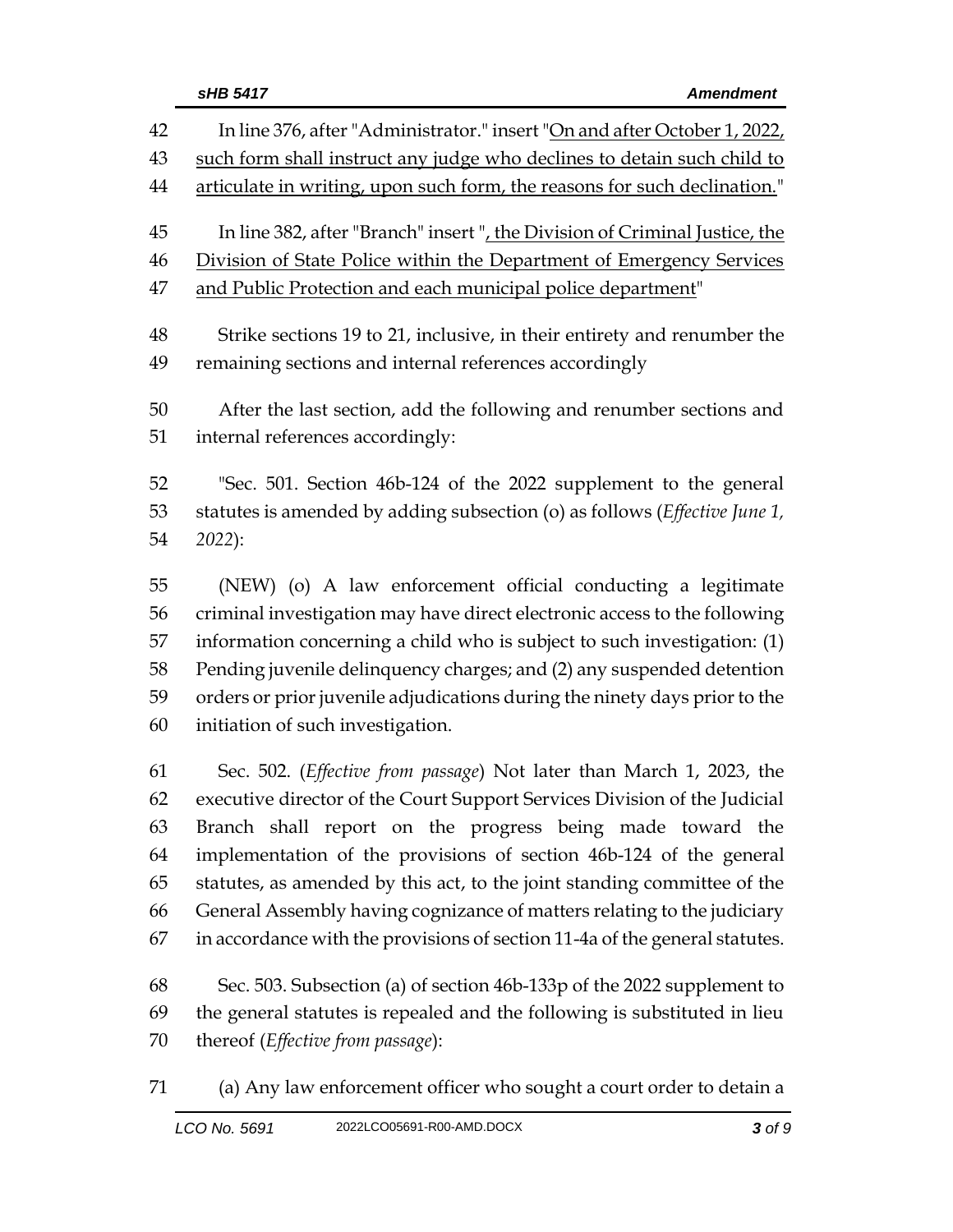|          | sHB 5417<br><b>Amendment</b>                                                                                                      |  |
|----------|-----------------------------------------------------------------------------------------------------------------------------------|--|
| 42       | In line 376, after "Administrator." insert "On and after October 1, 2022,                                                         |  |
| 43       | such form shall instruct any judge who declines to detain such child to                                                           |  |
| 44       | articulate in writing, upon such form, the reasons for such declination."                                                         |  |
| 45       | In line 382, after "Branch" insert ", the Division of Criminal Justice, the                                                       |  |
| 46       | Division of State Police within the Department of Emergency Services                                                              |  |
| 47       | and Public Protection and each municipal police department"                                                                       |  |
| 48<br>49 | Strike sections 19 to 21, inclusive, in their entirety and renumber the<br>remaining sections and internal references accordingly |  |
| 50<br>51 | After the last section, add the following and renumber sections and<br>internal references accordingly:                           |  |
|          |                                                                                                                                   |  |
| 52       | "Sec. 501. Section 46b-124 of the 2022 supplement to the general                                                                  |  |
| 53       | statutes is amended by adding subsection (o) as follows (Effective June 1,                                                        |  |
| 54       | 2022):                                                                                                                            |  |
| 55       | (NEW) (o) A law enforcement official conducting a legitimate                                                                      |  |
| 56       | criminal investigation may have direct electronic access to the following                                                         |  |
| 57       | information concerning a child who is subject to such investigation: (1)                                                          |  |
| 58       | Pending juvenile delinquency charges; and (2) any suspended detention                                                             |  |
| 59       | orders or prior juvenile adjudications during the ninety days prior to the                                                        |  |
| 60       | initiation of such investigation.                                                                                                 |  |
| 61       | Sec. 502. (Effective from passage) Not later than March 1, 2023, the                                                              |  |
| 62       | executive director of the Court Support Services Division of the Judicial                                                         |  |
| 63       | Branch shall report on the progress being made toward the                                                                         |  |
| 64       | implementation of the provisions of section 46b-124 of the general                                                                |  |
| 65       | statutes, as amended by this act, to the joint standing committee of the                                                          |  |
| 66       | General Assembly having cognizance of matters relating to the judiciary                                                           |  |
| 67       | in accordance with the provisions of section 11-4a of the general statutes.                                                       |  |
| 68       | Sec. 503. Subsection (a) of section 46b-133p of the 2022 supplement to                                                            |  |
| 69       | the general statutes is repealed and the following is substituted in lieu                                                         |  |
| 70       | thereof (Effective from passage):                                                                                                 |  |
|          |                                                                                                                                   |  |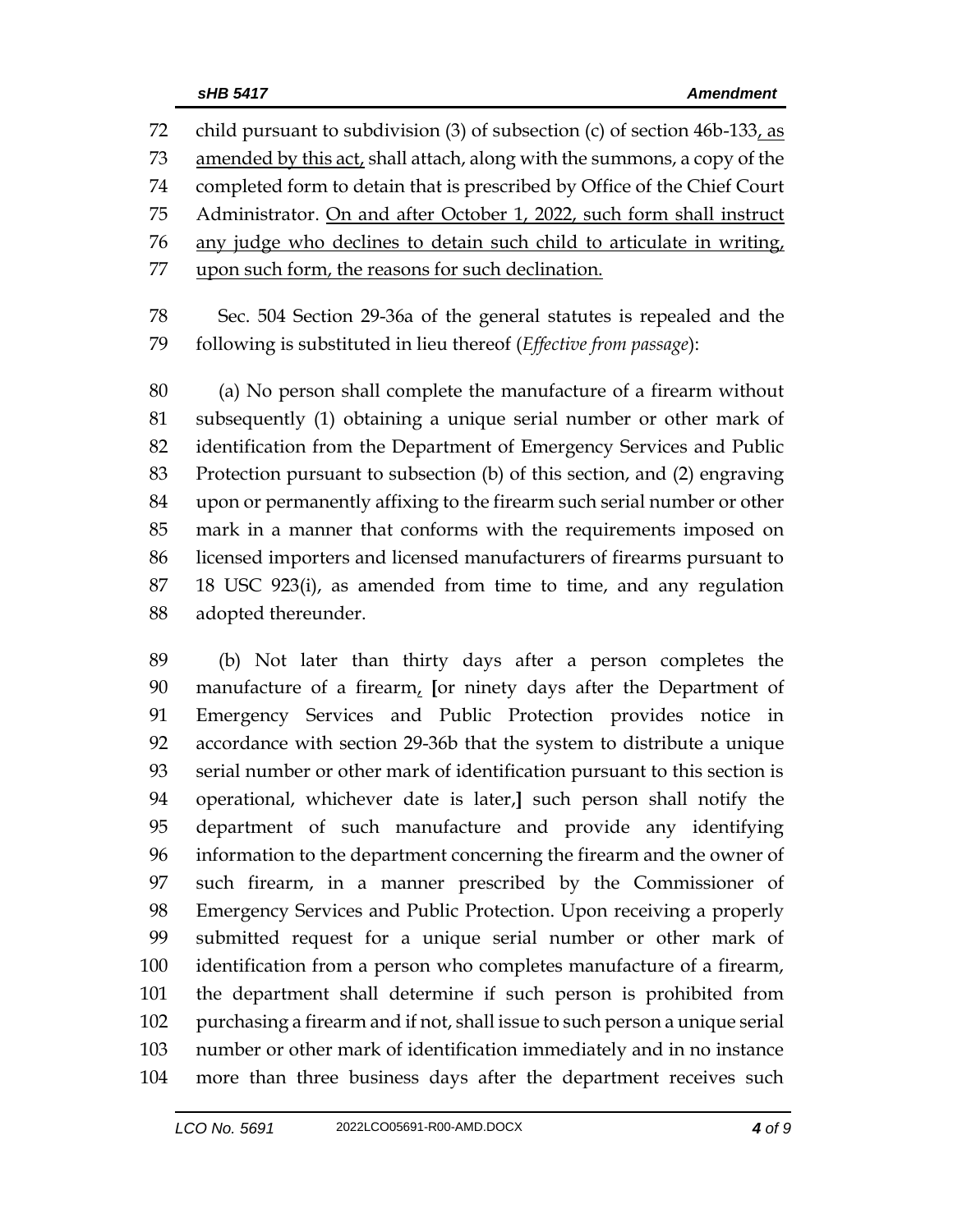child pursuant to subdivision (3) of subsection (c) of section 46b-133, as amended by this act, shall attach, along with the summons, a copy of the completed form to detain that is prescribed by Office of the Chief Court Administrator. On and after October 1, 2022, such form shall instruct any judge who declines to detain such child to articulate in writing, upon such form, the reasons for such declination.

 Sec. 504 Section 29-36a of the general statutes is repealed and the following is substituted in lieu thereof (*Effective from passage*):

 (a) No person shall complete the manufacture of a firearm without subsequently (1) obtaining a unique serial number or other mark of identification from the Department of Emergency Services and Public Protection pursuant to subsection (b) of this section, and (2) engraving upon or permanently affixing to the firearm such serial number or other mark in a manner that conforms with the requirements imposed on licensed importers and licensed manufacturers of firearms pursuant to 18 USC 923(i), as amended from time to time, and any regulation adopted thereunder.

 (b) Not later than thirty days after a person completes the manufacture of a firearm, **[**or ninety days after the Department of Emergency Services and Public Protection provides notice in accordance with section 29-36b that the system to distribute a unique serial number or other mark of identification pursuant to this section is operational, whichever date is later,**]** such person shall notify the department of such manufacture and provide any identifying information to the department concerning the firearm and the owner of such firearm, in a manner prescribed by the Commissioner of Emergency Services and Public Protection. Upon receiving a properly submitted request for a unique serial number or other mark of identification from a person who completes manufacture of a firearm, the department shall determine if such person is prohibited from purchasing a firearm and if not, shall issue to such person a unique serial number or other mark of identification immediately and in no instance more than three business days after the department receives such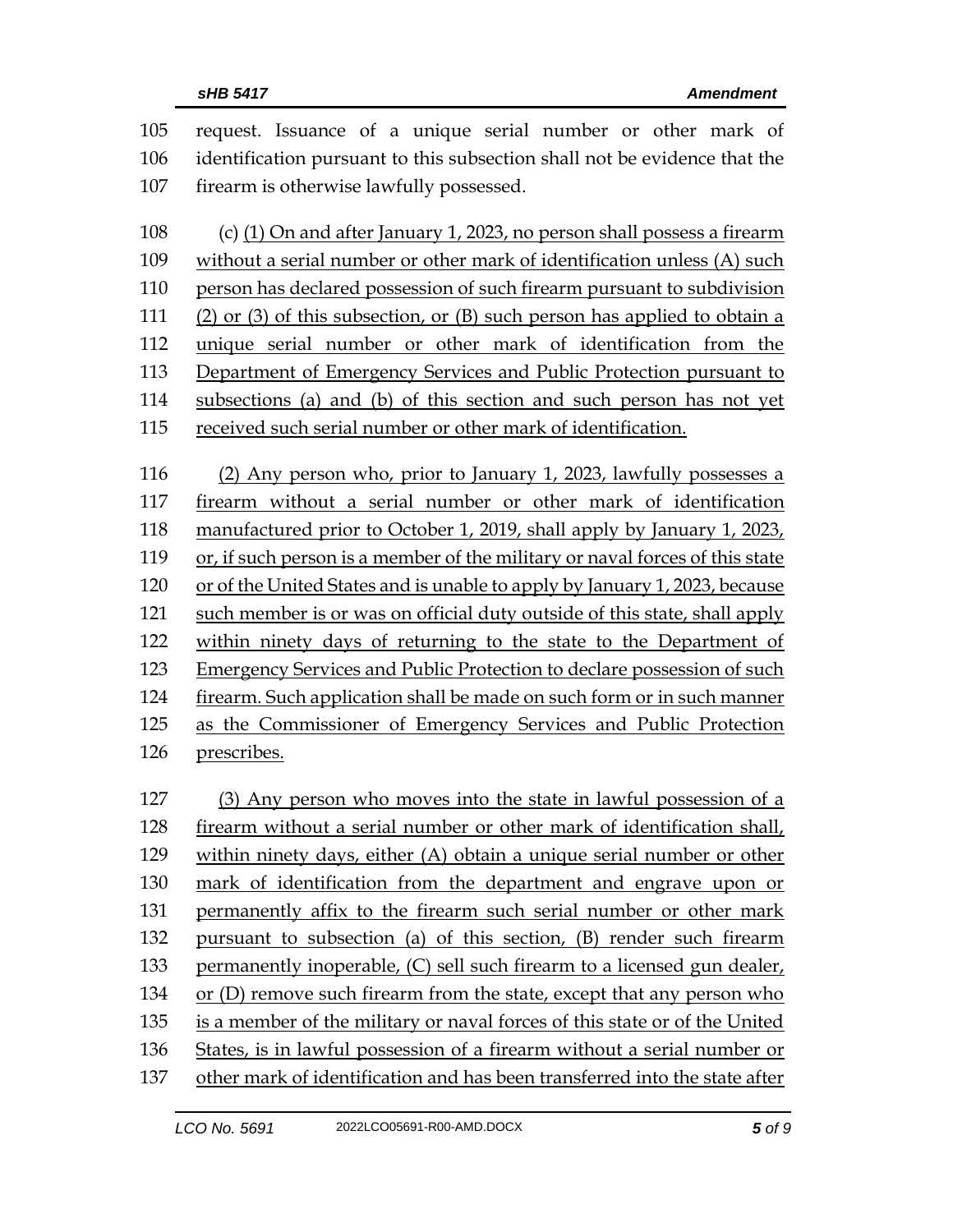| 105<br>106 | request. Issuance of a unique serial number or other mark of<br>identification pursuant to this subsection shall not be evidence that the          |  |  |
|------------|----------------------------------------------------------------------------------------------------------------------------------------------------|--|--|
| 107        | firearm is otherwise lawfully possessed.                                                                                                           |  |  |
| 108<br>109 | (c) (1) On and after January 1, 2023, no person shall possess a firearm<br>without a serial number or other mark of identification unless (A) such |  |  |
| 110        | person has declared possession of such firearm pursuant to subdivision                                                                             |  |  |
| 111        | (2) or (3) of this subsection, or (B) such person has applied to obtain a                                                                          |  |  |
| 112        | unique serial number or other mark of identification from the                                                                                      |  |  |
| 113        | Department of Emergency Services and Public Protection pursuant to                                                                                 |  |  |
| 114        | subsections (a) and (b) of this section and such person has not yet                                                                                |  |  |
| 115        | received such serial number or other mark of identification.                                                                                       |  |  |
|            |                                                                                                                                                    |  |  |
| 116        | (2) Any person who, prior to January 1, 2023, lawfully possesses a                                                                                 |  |  |
| 117        | firearm without a serial number or other mark of identification                                                                                    |  |  |
| 118        | manufactured prior to October 1, 2019, shall apply by January 1, 2023,                                                                             |  |  |
| 119        | or, if such person is a member of the military or naval forces of this state                                                                       |  |  |
| 120        | or of the United States and is unable to apply by January 1, 2023, because                                                                         |  |  |
| 121        | such member is or was on official duty outside of this state, shall apply                                                                          |  |  |
| 122        | within ninety days of returning to the state to the Department of                                                                                  |  |  |
| 123        | <b>Emergency Services and Public Protection to declare possession of such</b>                                                                      |  |  |
| 124        | firearm. Such application shall be made on such form or in such manner                                                                             |  |  |
| 125        | as the Commissioner of Emergency Services and Public Protection                                                                                    |  |  |
| 126        | prescribes.                                                                                                                                        |  |  |
|            |                                                                                                                                                    |  |  |
| 127        | (3) Any person who moves into the state in lawful possession of a                                                                                  |  |  |
| 128        | firearm without a serial number or other mark of identification shall,                                                                             |  |  |
| 129        | within ninety days, either (A) obtain a unique serial number or other                                                                              |  |  |
| 130        | mark of identification from the department and engrave upon or                                                                                     |  |  |
| 131        | permanently affix to the firearm such serial number or other mark                                                                                  |  |  |
| 132        | pursuant to subsection (a) of this section, (B) render such firearm                                                                                |  |  |
| 133        | permanently inoperable, (C) sell such firearm to a licensed gun dealer,                                                                            |  |  |
| 134        | or (D) remove such firearm from the state, except that any person who                                                                              |  |  |
| 135        | is a member of the military or naval forces of this state or of the United                                                                         |  |  |
| 136        | States, is in lawful possession of a firearm without a serial number or                                                                            |  |  |
| 137        | other mark of identification and has been transferred into the state after                                                                         |  |  |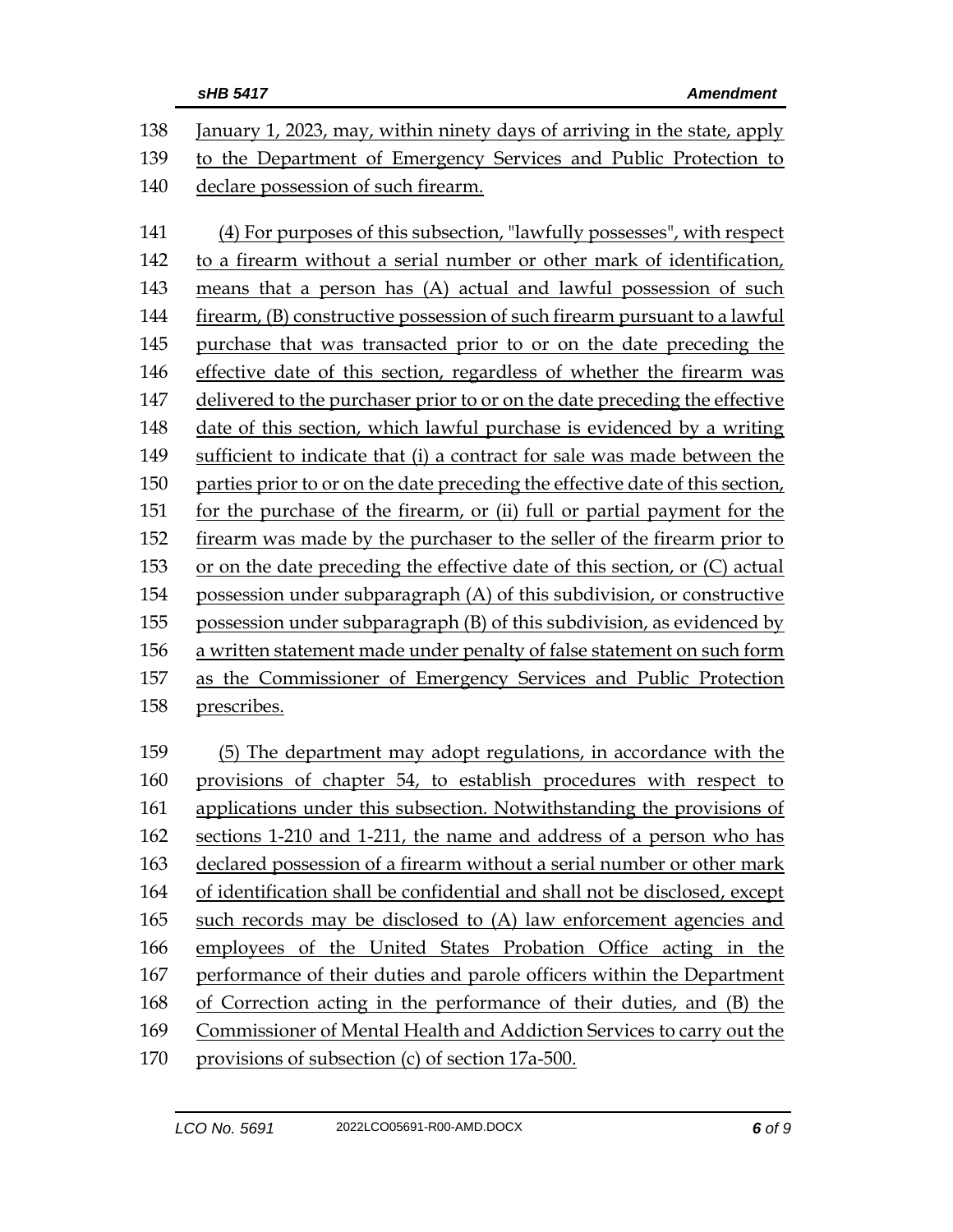| 138 | January 1, 2023, may, within ninety days of arriving in the state, apply      |  |  |
|-----|-------------------------------------------------------------------------------|--|--|
| 139 | to the Department of Emergency Services and Public Protection to              |  |  |
| 140 | declare possession of such firearm.                                           |  |  |
| 141 | (4) For purposes of this subsection, "lawfully possesses", with respect       |  |  |
| 142 | to a firearm without a serial number or other mark of identification,         |  |  |
| 143 | means that a person has (A) actual and lawful possession of such              |  |  |
| 144 | firearm, (B) constructive possession of such firearm pursuant to a lawful     |  |  |
| 145 | purchase that was transacted prior to or on the date preceding the            |  |  |
| 146 | effective date of this section, regardless of whether the firearm was         |  |  |
| 147 | delivered to the purchaser prior to or on the date preceding the effective    |  |  |
| 148 | date of this section, which lawful purchase is evidenced by a writing         |  |  |
| 149 | sufficient to indicate that (i) a contract for sale was made between the      |  |  |
| 150 | parties prior to or on the date preceding the effective date of this section, |  |  |
| 151 | for the purchase of the firearm, or (ii) full or partial payment for the      |  |  |
| 152 | firearm was made by the purchaser to the seller of the firearm prior to       |  |  |
| 153 | or on the date preceding the effective date of this section, or (C) actual    |  |  |
| 154 | possession under subparagraph (A) of this subdivision, or constructive        |  |  |
| 155 | possession under subparagraph (B) of this subdivision, as evidenced by        |  |  |
| 156 | a written statement made under penalty of false statement on such form        |  |  |
| 157 | as the Commissioner of Emergency Services and Public Protection               |  |  |
| 158 | prescribes.                                                                   |  |  |
| 159 | (5) The department may adopt regulations, in accordance with the              |  |  |
| 160 | provisions of chapter 54, to establish procedures with respect to             |  |  |
| 161 | applications under this subsection. Notwithstanding the provisions of         |  |  |
| 162 | sections 1-210 and 1-211, the name and address of a person who has            |  |  |
| 163 | declared possession of a firearm without a serial number or other mark        |  |  |
| 164 | of identification shall be confidential and shall not be disclosed, except    |  |  |
| 165 | such records may be disclosed to (A) law enforcement agencies and             |  |  |
| 166 | employees of the United States Probation Office acting in the                 |  |  |
| 167 | performance of their duties and parole officers within the Department         |  |  |
| 168 | of Correction acting in the performance of their duties, and (B) the          |  |  |
| 169 | Commissioner of Mental Health and Addiction Services to carry out the         |  |  |
| 170 | provisions of subsection (c) of section 17a-500.                              |  |  |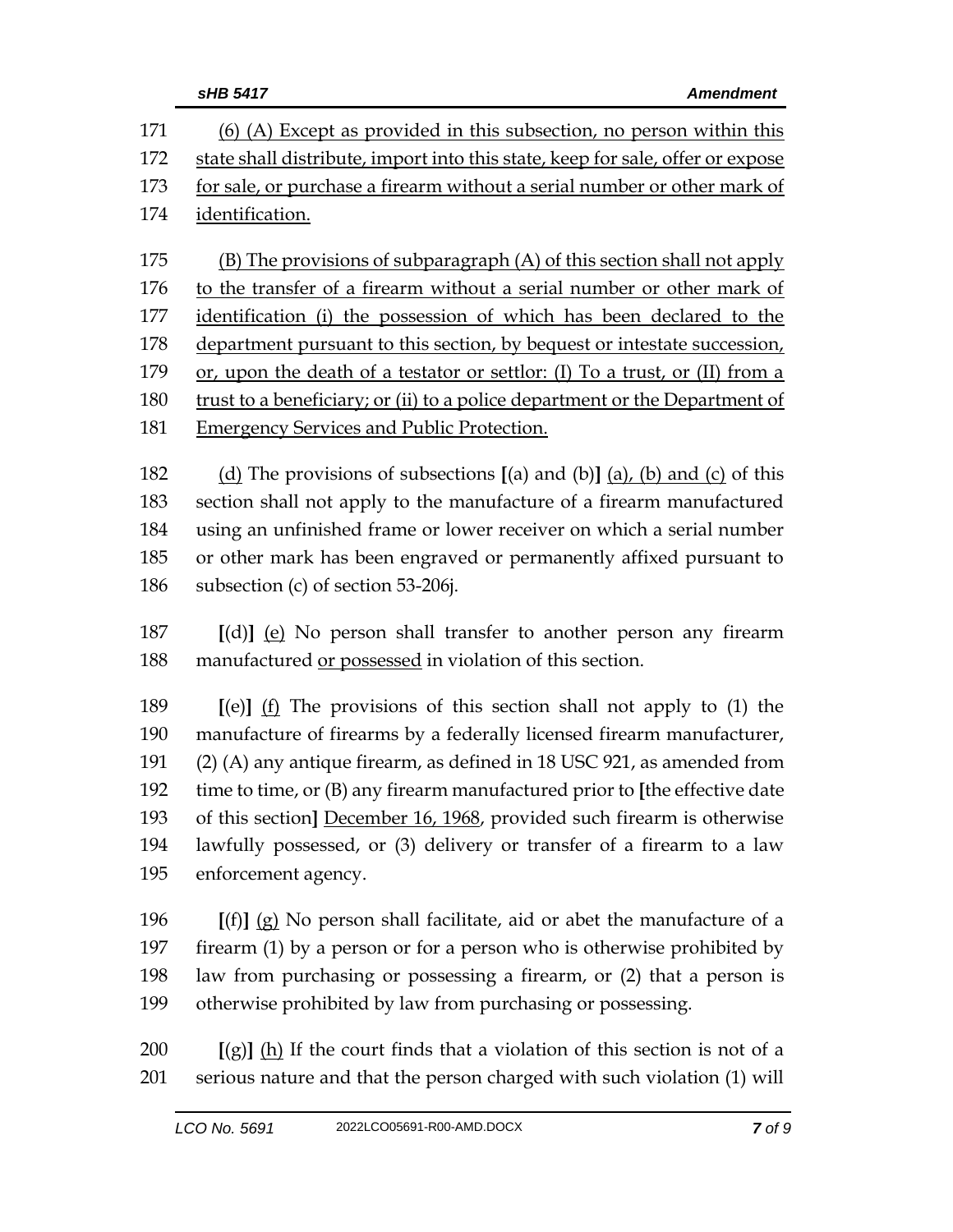|                   | sHB 5417<br><b>Amendment</b>                                                                                                                                                                                           |  |
|-------------------|------------------------------------------------------------------------------------------------------------------------------------------------------------------------------------------------------------------------|--|
| 171               | $(6)$ (A) Except as provided in this subsection, no person within this                                                                                                                                                 |  |
| 172               | state shall distribute, import into this state, keep for sale, offer or expose                                                                                                                                         |  |
| 173               | for sale, or purchase a firearm without a serial number or other mark of                                                                                                                                               |  |
| 174               | identification.                                                                                                                                                                                                        |  |
| 175<br>176<br>177 | (B) The provisions of subparagraph (A) of this section shall not apply<br>to the transfer of a firearm without a serial number or other mark of<br>identification (i) the possession of which has been declared to the |  |
| 178               | department pursuant to this section, by bequest or intestate succession,                                                                                                                                               |  |
| 179               | or, upon the death of a testator or settlor: (I) To a trust, or (II) from a                                                                                                                                            |  |
| 180               | trust to a beneficiary; or (ii) to a police department or the Department of                                                                                                                                            |  |
| 181               | <b>Emergency Services and Public Protection.</b>                                                                                                                                                                       |  |
|                   |                                                                                                                                                                                                                        |  |

 (d) The provisions of subsections **[**(a) and (b)**]** (a), (b) and (c) of this section shall not apply to the manufacture of a firearm manufactured using an unfinished frame or lower receiver on which a serial number or other mark has been engraved or permanently affixed pursuant to subsection (c) of section 53-206j.

 **[**(d)**]** (e) No person shall transfer to another person any firearm manufactured or possessed in violation of this section.

 **[**(e)**]** (f) The provisions of this section shall not apply to (1) the manufacture of firearms by a federally licensed firearm manufacturer, (2) (A) any antique firearm, as defined in 18 USC 921, as amended from time to time, or (B) any firearm manufactured prior to **[**the effective date of this section**]** December 16, 1968, provided such firearm is otherwise lawfully possessed, or (3) delivery or transfer of a firearm to a law enforcement agency.

 **[**(f)**]** (g) No person shall facilitate, aid or abet the manufacture of a firearm (1) by a person or for a person who is otherwise prohibited by law from purchasing or possessing a firearm, or (2) that a person is otherwise prohibited by law from purchasing or possessing.

 **[**(g)**]** (h) If the court finds that a violation of this section is not of a serious nature and that the person charged with such violation (1) will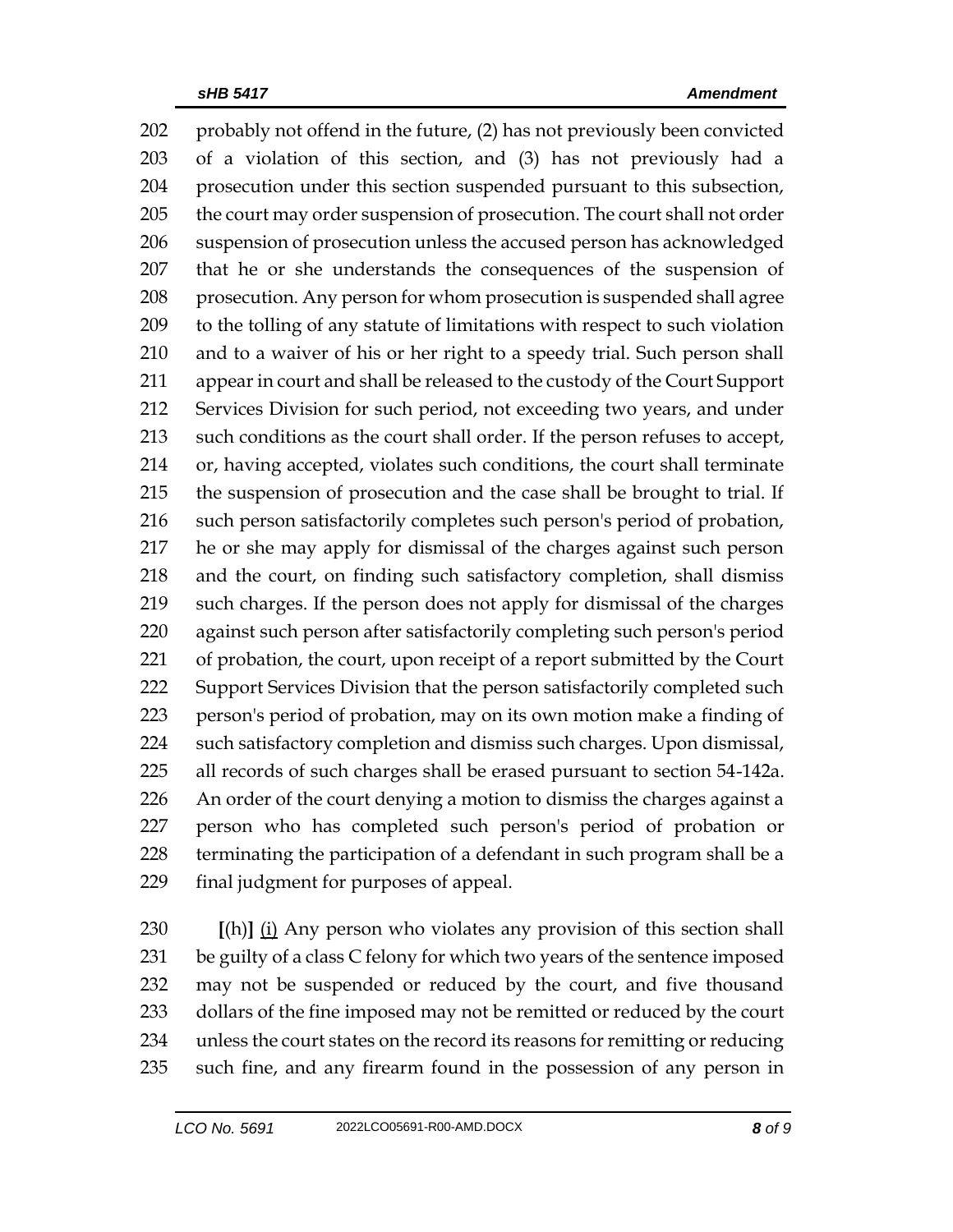probably not offend in the future, (2) has not previously been convicted of a violation of this section, and (3) has not previously had a prosecution under this section suspended pursuant to this subsection, 205 the court may order suspension of prosecution. The court shall not order suspension of prosecution unless the accused person has acknowledged that he or she understands the consequences of the suspension of prosecution. Any person for whom prosecution is suspended shall agree to the tolling of any statute of limitations with respect to such violation and to a waiver of his or her right to a speedy trial. Such person shall appear in court and shall be released to the custody of the Court Support Services Division for such period, not exceeding two years, and under such conditions as the court shall order. If the person refuses to accept, or, having accepted, violates such conditions, the court shall terminate the suspension of prosecution and the case shall be brought to trial. If such person satisfactorily completes such person's period of probation, he or she may apply for dismissal of the charges against such person and the court, on finding such satisfactory completion, shall dismiss such charges. If the person does not apply for dismissal of the charges against such person after satisfactorily completing such person's period of probation, the court, upon receipt of a report submitted by the Court 222 Support Services Division that the person satisfactorily completed such person's period of probation, may on its own motion make a finding of such satisfactory completion and dismiss such charges. Upon dismissal, all records of such charges shall be erased pursuant to section 54-142a. An order of the court denying a motion to dismiss the charges against a person who has completed such person's period of probation or terminating the participation of a defendant in such program shall be a final judgment for purposes of appeal.

 **[**(h)**]** (i) Any person who violates any provision of this section shall be guilty of a class C felony for which two years of the sentence imposed may not be suspended or reduced by the court, and five thousand 233 dollars of the fine imposed may not be remitted or reduced by the court unless the court states on the record its reasons for remitting or reducing such fine, and any firearm found in the possession of any person in